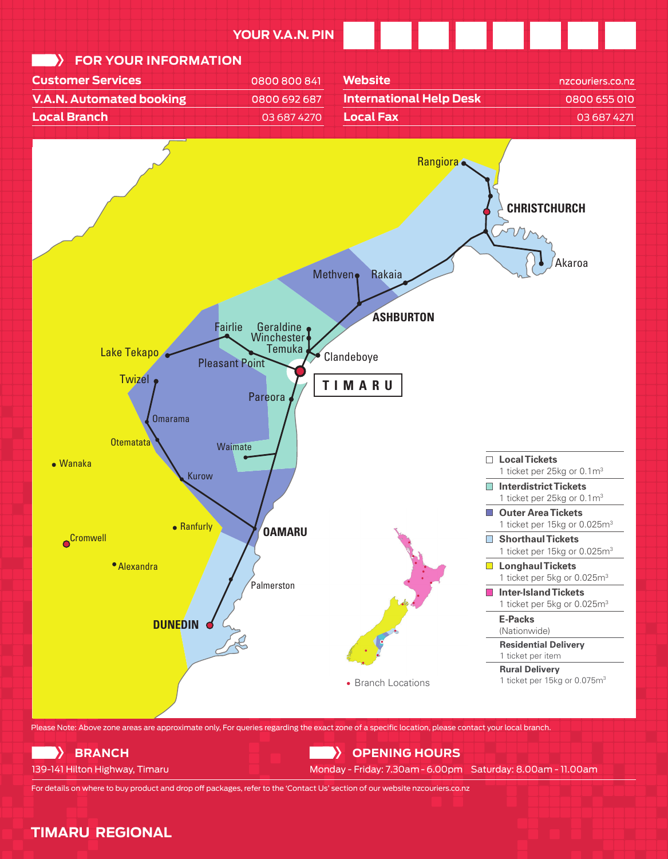

**TIMARU REGIONAL**